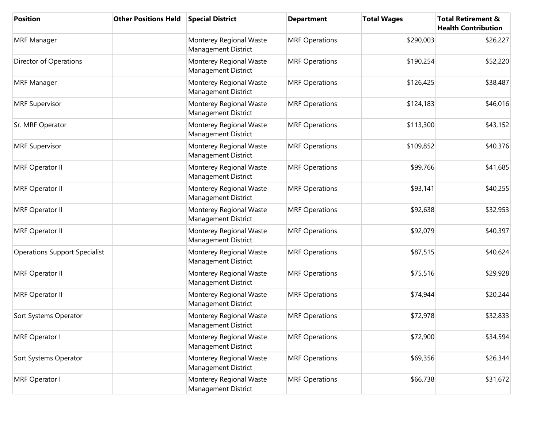| <b>Position</b>                      | <b>Other Positions Held</b> | <b>Special District</b>                        | <b>Department</b>     | <b>Total Wages</b> | <b>Total Retirement &amp;</b><br><b>Health Contribution</b> |
|--------------------------------------|-----------------------------|------------------------------------------------|-----------------------|--------------------|-------------------------------------------------------------|
| <b>MRF Manager</b>                   |                             | Monterey Regional Waste<br>Management District | <b>MRF Operations</b> | \$290,003          | \$26,227                                                    |
| Director of Operations               |                             | Monterey Regional Waste<br>Management District | <b>MRF Operations</b> | \$190,254          | \$52,220                                                    |
| <b>MRF Manager</b>                   |                             | Monterey Regional Waste<br>Management District | <b>MRF Operations</b> | \$126,425          | \$38,487                                                    |
| <b>MRF Supervisor</b>                |                             | Monterey Regional Waste<br>Management District | <b>MRF Operations</b> | \$124,183          | \$46,016                                                    |
| Sr. MRF Operator                     |                             | Monterey Regional Waste<br>Management District | <b>MRF Operations</b> | \$113,300          | \$43,152                                                    |
| <b>MRF Supervisor</b>                |                             | Monterey Regional Waste<br>Management District | <b>MRF Operations</b> | \$109,852          | \$40,376                                                    |
| MRF Operator II                      |                             | Monterey Regional Waste<br>Management District | <b>MRF Operations</b> | \$99,766           | \$41,685                                                    |
| <b>MRF Operator II</b>               |                             | Monterey Regional Waste<br>Management District | <b>MRF Operations</b> | \$93,141           | \$40,255                                                    |
| MRF Operator II                      |                             | Monterey Regional Waste<br>Management District | <b>MRF Operations</b> | \$92,638           | \$32,953                                                    |
| MRF Operator II                      |                             | Monterey Regional Waste<br>Management District | <b>MRF Operations</b> | \$92,079           | \$40,397                                                    |
| <b>Operations Support Specialist</b> |                             | Monterey Regional Waste<br>Management District | <b>MRF Operations</b> | \$87,515           | \$40,624                                                    |
| <b>MRF Operator II</b>               |                             | Monterey Regional Waste<br>Management District | <b>MRF Operations</b> | \$75,516           | \$29,928                                                    |
| <b>MRF Operator II</b>               |                             | Monterey Regional Waste<br>Management District | <b>MRF Operations</b> | \$74,944           | \$20,244                                                    |
| Sort Systems Operator                |                             | Monterey Regional Waste<br>Management District | <b>MRF Operations</b> | \$72,978           | \$32,833                                                    |
| MRF Operator I                       |                             | Monterey Regional Waste<br>Management District | <b>MRF Operations</b> | \$72,900           | \$34,594                                                    |
| Sort Systems Operator                |                             | Monterey Regional Waste<br>Management District | <b>MRF Operations</b> | \$69,356           | \$26,344                                                    |
| MRF Operator I                       |                             | Monterey Regional Waste<br>Management District | <b>MRF Operations</b> | \$66,738           | \$31,672                                                    |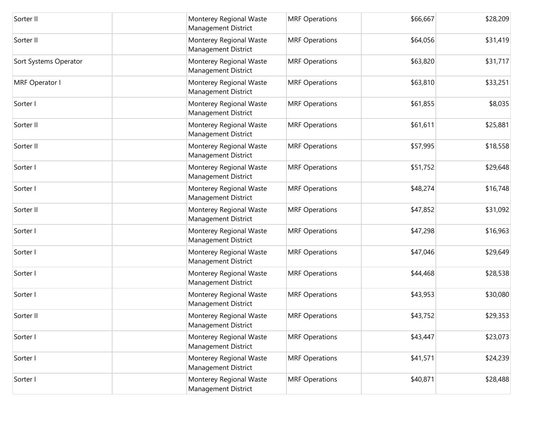| Sorter II             | Monterey Regional Waste<br><b>Management District</b> | <b>MRF Operations</b> | \$66,667 | \$28,209 |
|-----------------------|-------------------------------------------------------|-----------------------|----------|----------|
| Sorter II             | Monterey Regional Waste<br>Management District        | <b>MRF Operations</b> | \$64,056 | \$31,419 |
| Sort Systems Operator | Monterey Regional Waste<br>Management District        | <b>MRF Operations</b> | \$63,820 | \$31,717 |
| MRF Operator I        | Monterey Regional Waste<br>Management District        | <b>MRF Operations</b> | \$63,810 | \$33,251 |
| Sorter I              | Monterey Regional Waste<br>Management District        | <b>MRF Operations</b> | \$61,855 | \$8,035  |
| Sorter II             | Monterey Regional Waste<br>Management District        | <b>MRF Operations</b> | \$61,611 | \$25,881 |
| Sorter II             | Monterey Regional Waste<br>Management District        | <b>MRF Operations</b> | \$57,995 | \$18,558 |
| Sorter I              | Monterey Regional Waste<br><b>Management District</b> | <b>MRF Operations</b> | \$51,752 | \$29,648 |
| Sorter I              | Monterey Regional Waste<br>Management District        | <b>MRF Operations</b> | \$48,274 | \$16,748 |
| Sorter II             | Monterey Regional Waste<br>Management District        | <b>MRF Operations</b> | \$47,852 | \$31,092 |
| Sorter I              | Monterey Regional Waste<br>Management District        | <b>MRF Operations</b> | \$47,298 | \$16,963 |
| Sorter I              | Monterey Regional Waste<br>Management District        | <b>MRF Operations</b> | \$47,046 | \$29,649 |
| Sorter I              | Monterey Regional Waste<br>Management District        | <b>MRF Operations</b> | \$44,468 | \$28,538 |
| Sorter I              | Monterey Regional Waste<br>Management District        | <b>MRF Operations</b> | \$43,953 | \$30,080 |
| Sorter II             | Monterey Regional Waste<br><b>Management District</b> | <b>MRF Operations</b> | \$43,752 | \$29,353 |
| Sorter I              | Monterey Regional Waste<br><b>Management District</b> | <b>MRF Operations</b> | \$43,447 | \$23,073 |
| Sorter I              | Monterey Regional Waste<br><b>Management District</b> | <b>MRF Operations</b> | \$41,571 | \$24,239 |
| Sorter I              | Monterey Regional Waste<br>Management District        | <b>MRF Operations</b> | \$40,871 | \$28,488 |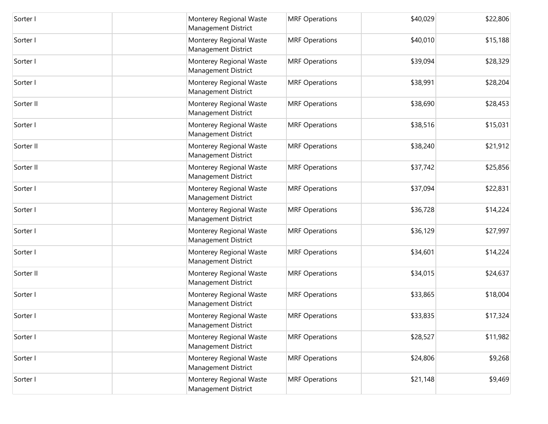| Sorter I  | Monterey Regional Waste<br><b>Management District</b> | <b>MRF Operations</b> | \$40,029 | \$22,806 |
|-----------|-------------------------------------------------------|-----------------------|----------|----------|
| Sorter I  | Monterey Regional Waste<br><b>Management District</b> | <b>MRF Operations</b> | \$40,010 | \$15,188 |
| Sorter I  | Monterey Regional Waste<br><b>Management District</b> | <b>MRF Operations</b> | \$39,094 | \$28,329 |
| Sorter I  | Monterey Regional Waste<br><b>Management District</b> | <b>MRF Operations</b> | \$38,991 | \$28,204 |
| Sorter II | Monterey Regional Waste<br><b>Management District</b> | <b>MRF Operations</b> | \$38,690 | \$28,453 |
| Sorter I  | Monterey Regional Waste<br><b>Management District</b> | <b>MRF Operations</b> | \$38,516 | \$15,031 |
| Sorter II | Monterey Regional Waste<br><b>Management District</b> | <b>MRF Operations</b> | \$38,240 | \$21,912 |
| Sorter II | Monterey Regional Waste<br><b>Management District</b> | <b>MRF Operations</b> | \$37,742 | \$25,856 |
| Sorter I  | Monterey Regional Waste<br>Management District        | <b>MRF Operations</b> | \$37,094 | \$22,831 |
| Sorter I  | Monterey Regional Waste<br><b>Management District</b> | <b>MRF Operations</b> | \$36,728 | \$14,224 |
| Sorter I  | Monterey Regional Waste<br>Management District        | <b>MRF Operations</b> | \$36,129 | \$27,997 |
| Sorter I  | Monterey Regional Waste<br><b>Management District</b> | <b>MRF Operations</b> | \$34,601 | \$14,224 |
| Sorter II | Monterey Regional Waste<br><b>Management District</b> | <b>MRF Operations</b> | \$34,015 | \$24,637 |
| Sorter I  | Monterey Regional Waste<br><b>Management District</b> | <b>MRF Operations</b> | \$33,865 | \$18,004 |
| Sorter I  | Monterey Regional Waste<br><b>Management District</b> | <b>MRF Operations</b> | \$33,835 | \$17,324 |
| Sorter I  | Monterey Regional Waste<br>Management District        | <b>MRF Operations</b> | \$28,527 | \$11,982 |
| Sorter I  | Monterey Regional Waste<br><b>Management District</b> | <b>MRF Operations</b> | \$24,806 | \$9,268  |
| Sorter I  | Monterey Regional Waste<br>Management District        | <b>MRF Operations</b> | \$21,148 | \$9,469  |